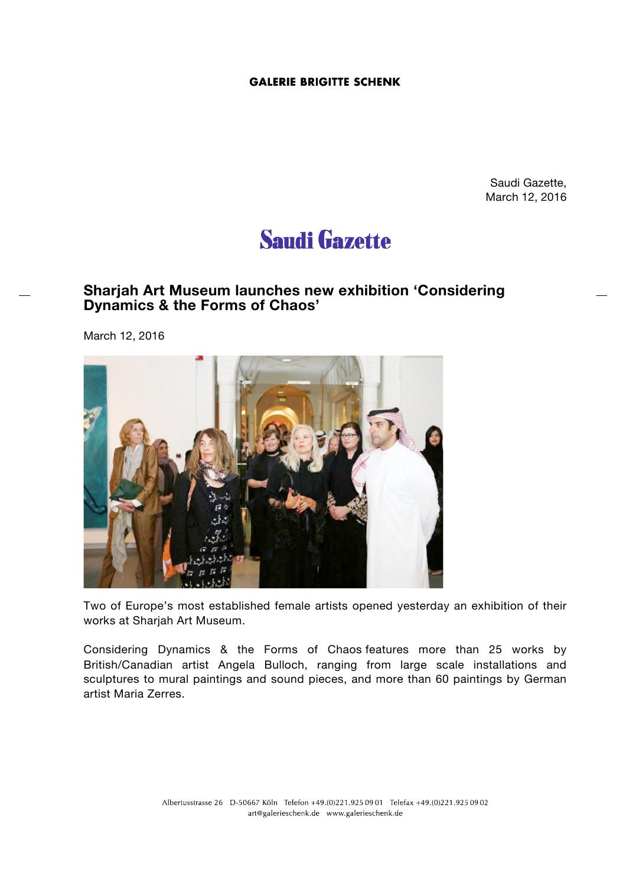## **GALERIE BRIGITTE SCHENK**

Saudi Gazette, March 12, 2016

# **Saudi Gazette**

## **Sharjah Art Museum launches new exhibition 'Considering Dynamics & the Forms of Chaos'**

March 12, 2016



Two of Europe's most established female artists opened yesterday an exhibition of their works at Sharjah Art Museum.

Considering Dynamics & the Forms of Chaos features more than 25 works by British/Canadian artist Angela Bulloch, ranging from large scale installations and sculptures to mural paintings and sound pieces, and more than 60 paintings by German artist Maria Zerres.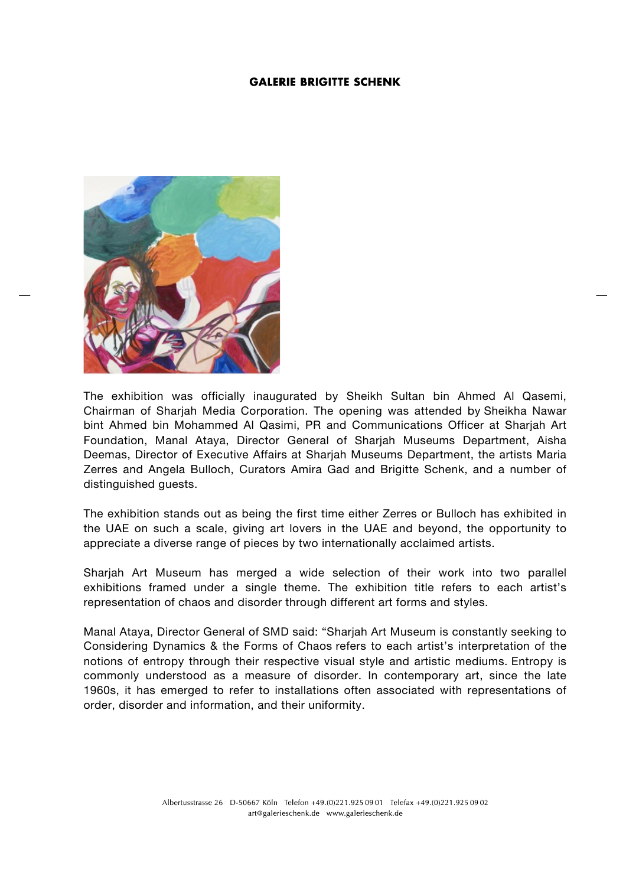### **GALERIE BRIGITTE SCHENK**



The exhibition was officially inaugurated by Sheikh Sultan bin Ahmed Al Qasemi, Chairman of Sharjah Media Corporation. The opening was attended by Sheikha Nawar bint Ahmed bin Mohammed Al Qasimi, PR and Communications Officer at Sharjah Art Foundation, Manal Ataya, Director General of Sharjah Museums Department, Aisha Deemas, Director of Executive Affairs at Sharjah Museums Department, the artists Maria Zerres and Angela Bulloch, Curators Amira Gad and Brigitte Schenk, and a number of distinguished guests.

The exhibition stands out as being the first time either Zerres or Bulloch has exhibited in the UAE on such a scale, giving art lovers in the UAE and beyond, the opportunity to appreciate a diverse range of pieces by two internationally acclaimed artists.

Sharjah Art Museum has merged a wide selection of their work into two parallel exhibitions framed under a single theme. The exhibition title refers to each artist's representation of chaos and disorder through different art forms and styles.

Manal Ataya, Director General of SMD said: "Sharjah Art Museum is constantly seeking to Considering Dynamics & the Forms of Chaos refers to each artist's interpretation of the notions of entropy through their respective visual style and artistic mediums. Entropy is commonly understood as a measure of disorder. In contemporary art, since the late 1960s, it has emerged to refer to installations often associated with representations of order, disorder and information, and their uniformity.